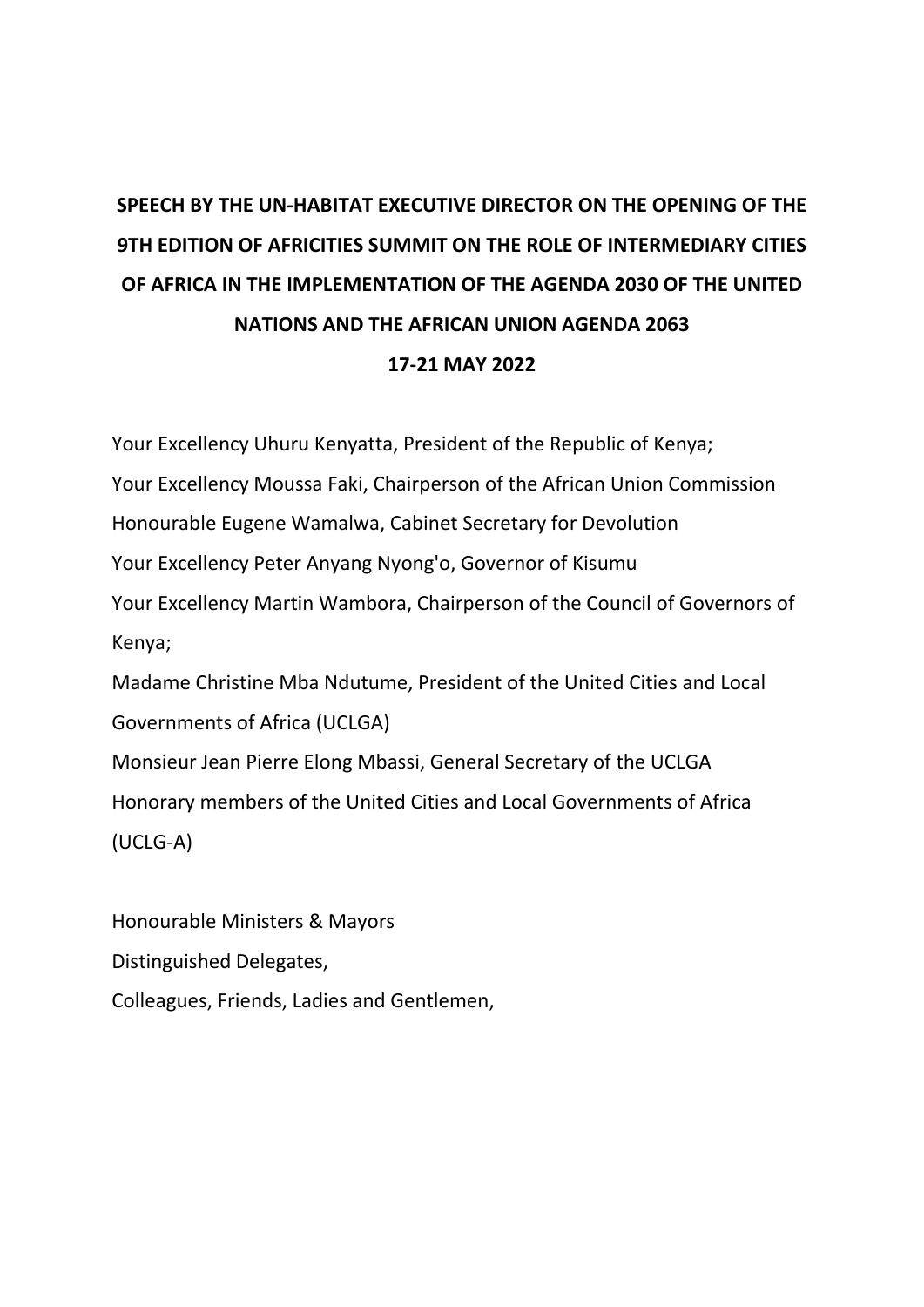## **SPEECH BY THE UN-HABITAT EXECUTIVE DIRECTOR ON THE OPENING OF THE 9TH EDITION OF AFRICITIES SUMMIT ON THE ROLE OF INTERMEDIARY CITIES OF AFRICA IN THE IMPLEMENTATION OF THE AGENDA 2030 OF THE UNITED NATIONS AND THE AFRICAN UNION AGENDA 2063**

## **17-21 MAY 2022**

Your Excellency Uhuru Kenyatta, President of the Republic of Kenya;

Your Excellency Moussa Faki, Chairperson of the African Union Commission

Honourable Eugene Wamalwa, Cabinet Secretary for Devolution

Your Excellency Peter Anyang Nyong'o, Governor of Kisumu

Your Excellency Martin Wambora, Chairperson of the Council of Governors of Kenya;

Madame Christine Mba Ndutume, President of the United Cities and Local Governments of Africa (UCLGA)

Monsieur Jean Pierre Elong Mbassi, General Secretary of the UCLGA Honorary members of the United Cities and Local Governments of Africa (UCLG-A)

Honourable Ministers & Mayors Distinguished Delegates, Colleagues, Friends, Ladies and Gentlemen,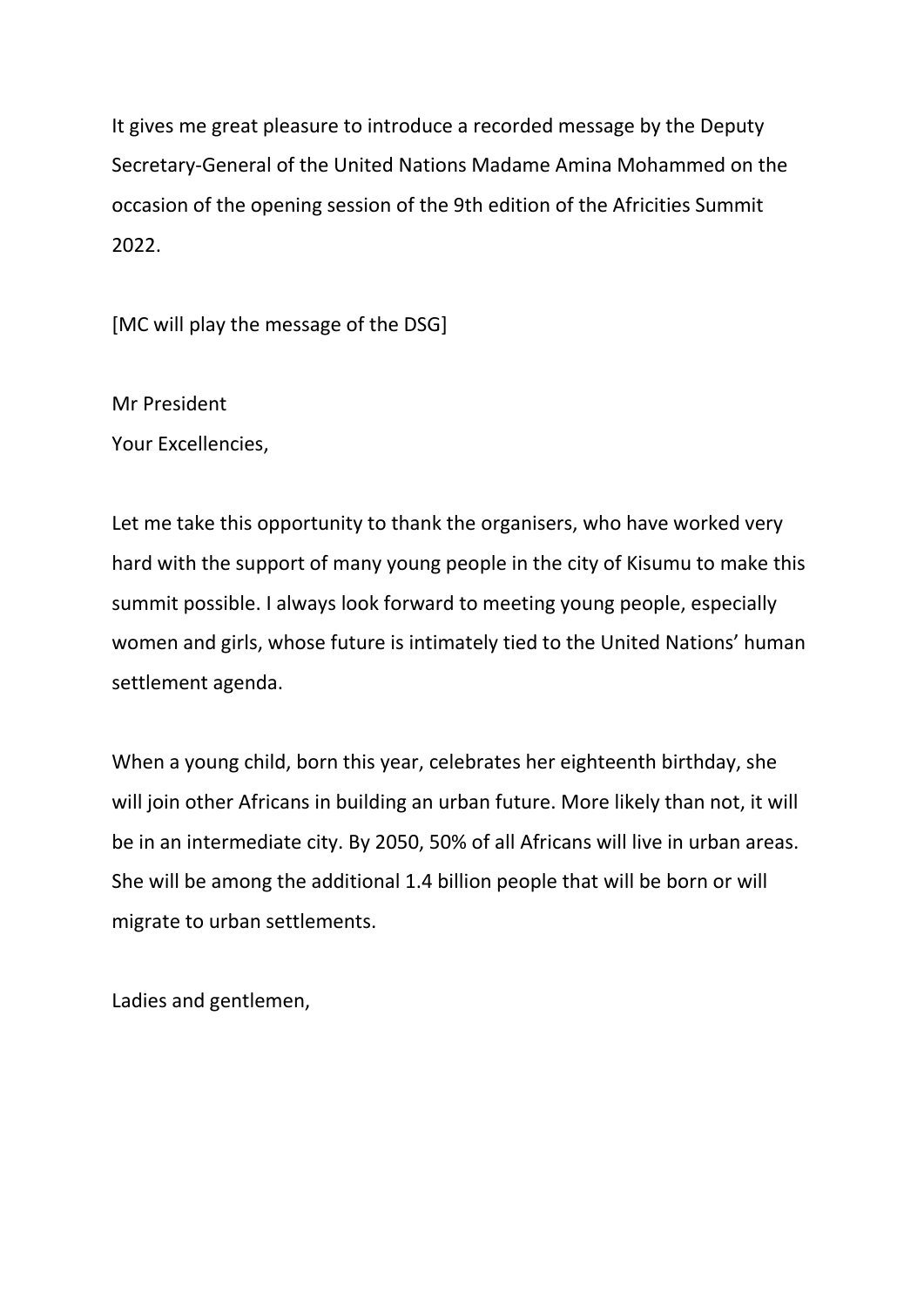It gives me great pleasure to introduce a recorded message by the Deputy Secretary-General of the United Nations Madame Amina Mohammed on the occasion of the opening session of the 9th edition of the Africities Summit 2022.

[MC will play the message of the DSG]

Mr President Your Excellencies,

Let me take this opportunity to thank the organisers, who have worked very hard with the support of many young people in the city of Kisumu to make this summit possible. I always look forward to meeting young people, especially women and girls, whose future is intimately tied to the United Nations' human settlement agenda.

When a young child, born this year, celebrates her eighteenth birthday, she will join other Africans in building an urban future. More likely than not, it will be in an intermediate city. By 2050, 50% of all Africans will live in urban areas. She will be among the additional 1.4 billion people that will be born or will migrate to urban settlements.

Ladies and gentlemen,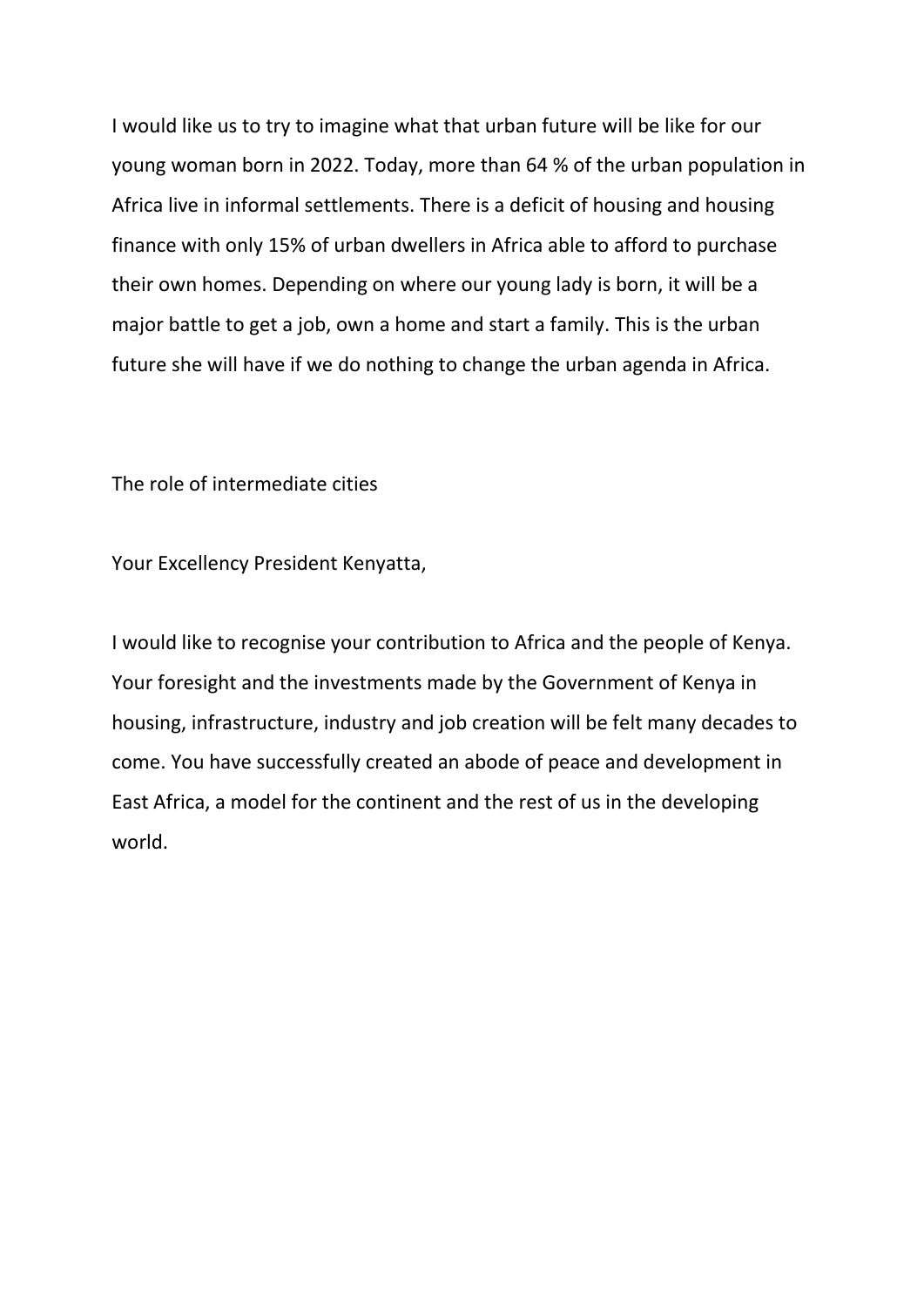I would like us to try to imagine what that urban future will be like for our young woman born in 2022. Today, more than 64 % of the urban population in Africa live in informal settlements. There is a deficit of housing and housing finance with only 15% of urban dwellers in Africa able to afford to purchase their own homes. Depending on where our young lady is born, it will be a major battle to get a job, own a home and start a family. This is the urban future she will have if we do nothing to change the urban agenda in Africa.

The role of intermediate cities

Your Excellency President Kenyatta,

I would like to recognise your contribution to Africa and the people of Kenya. Your foresight and the investments made by the Government of Kenya in housing, infrastructure, industry and job creation will be felt many decades to come. You have successfully created an abode of peace and development in East Africa, a model for the continent and the rest of us in the developing world.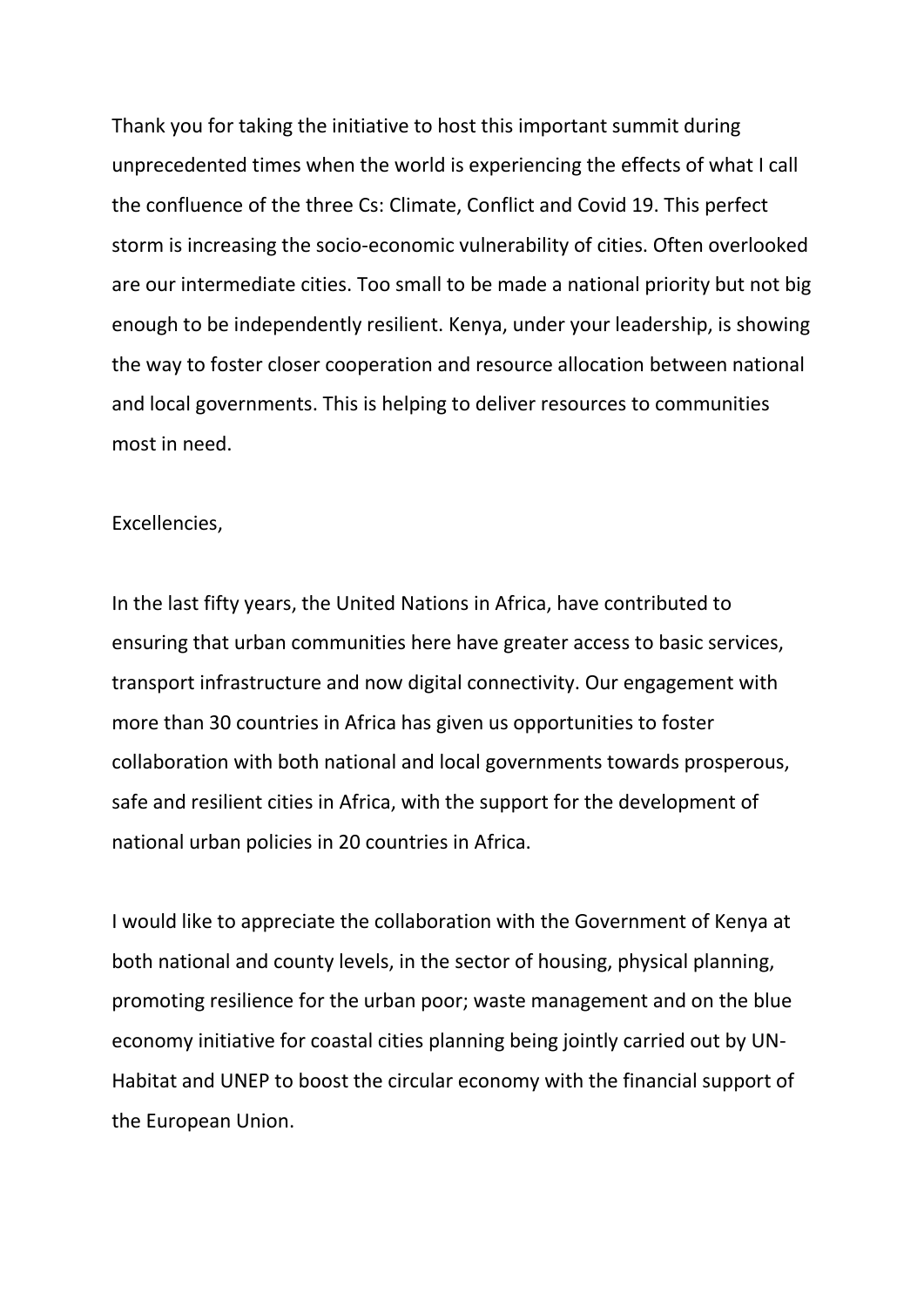Thank you for taking the initiative to host this important summit during unprecedented times when the world is experiencing the effects of what I call the confluence of the three Cs: Climate, Conflict and Covid 19. This perfect storm is increasing the socio-economic vulnerability of cities. Often overlooked are our intermediate cities. Too small to be made a national priority but not big enough to be independently resilient. Kenya, under your leadership, is showing the way to foster closer cooperation and resource allocation between national and local governments. This is helping to deliver resources to communities most in need.

## Excellencies,

In the last fifty years, the United Nations in Africa, have contributed to ensuring that urban communities here have greater access to basic services, transport infrastructure and now digital connectivity. Our engagement with more than 30 countries in Africa has given us opportunities to foster collaboration with both national and local governments towards prosperous, safe and resilient cities in Africa, with the support for the development of national urban policies in 20 countries in Africa.

I would like to appreciate the collaboration with the Government of Kenya at both national and county levels, in the sector of housing, physical planning, promoting resilience for the urban poor; waste management and on the blue economy initiative for coastal cities planning being jointly carried out by UN-Habitat and UNEP to boost the circular economy with the financial support of the European Union.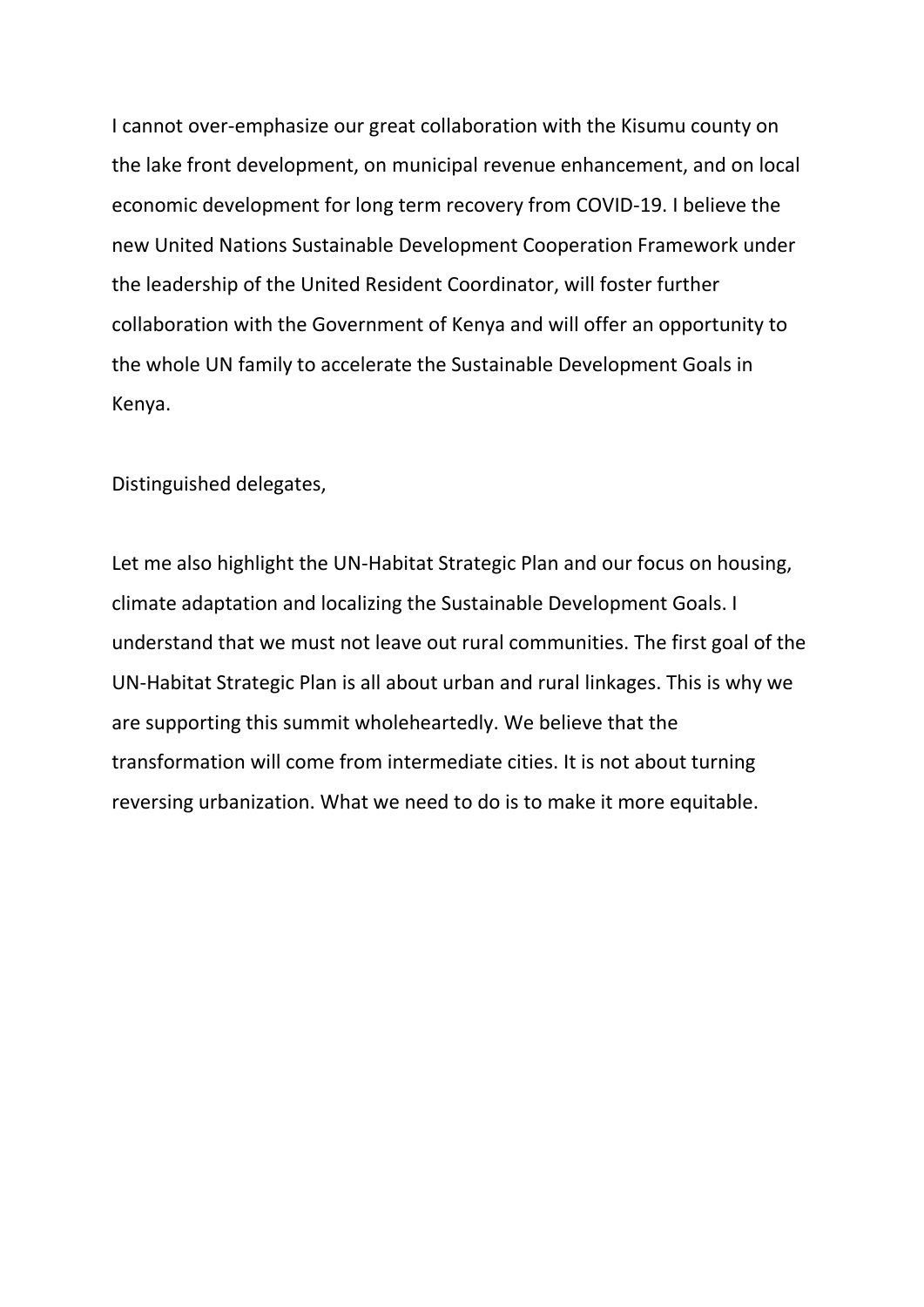I cannot over-emphasize our great collaboration with the Kisumu county on the lake front development, on municipal revenue enhancement, and on local economic development for long term recovery from COVID-19. I believe the new United Nations Sustainable Development Cooperation Framework under the leadership of the United Resident Coordinator, will foster further collaboration with the Government of Kenya and will offer an opportunity to the whole UN family to accelerate the Sustainable Development Goals in Kenya.

Distinguished delegates,

Let me also highlight the UN-Habitat Strategic Plan and our focus on housing, climate adaptation and localizing the Sustainable Development Goals. I understand that we must not leave out rural communities. The first goal of the UN-Habitat Strategic Plan is all about urban and rural linkages. This is why we are supporting this summit wholeheartedly. We believe that the transformation will come from intermediate cities. It is not about turning reversing urbanization. What we need to do is to make it more equitable.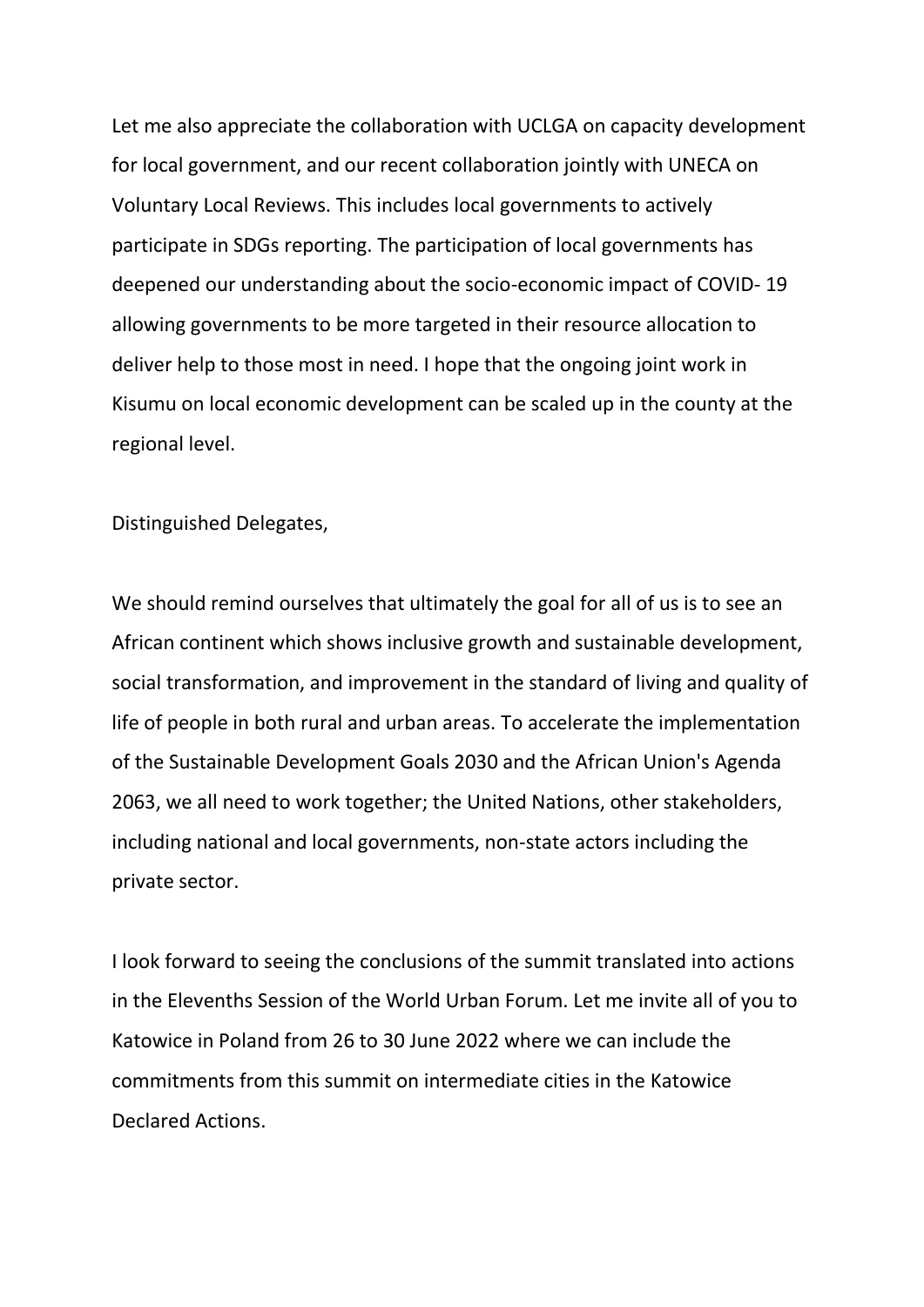Let me also appreciate the collaboration with UCLGA on capacity development for local government, and our recent collaboration jointly with UNECA on Voluntary Local Reviews. This includes local governments to actively participate in SDGs reporting. The participation of local governments has deepened our understanding about the socio-economic impact of COVID- 19 allowing governments to be more targeted in their resource allocation to deliver help to those most in need. I hope that the ongoing joint work in Kisumu on local economic development can be scaled up in the county at the regional level.

Distinguished Delegates,

We should remind ourselves that ultimately the goal for all of us is to see an African continent which shows inclusive growth and sustainable development, social transformation, and improvement in the standard of living and quality of life of people in both rural and urban areas. To accelerate the implementation of the Sustainable Development Goals 2030 and the African Union's Agenda 2063, we all need to work together; the United Nations, other stakeholders, including national and local governments, non-state actors including the private sector.

I look forward to seeing the conclusions of the summit translated into actions in the Elevenths Session of the World Urban Forum. Let me invite all of you to Katowice in Poland from 26 to 30 June 2022 where we can include the commitments from this summit on intermediate cities in the Katowice Declared Actions.